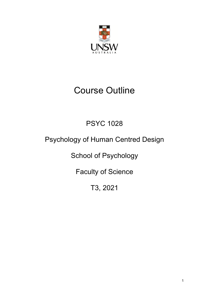

# Course Outline

# PSYC 1028

# Psychology of Human Centred Design

School of Psychology

Faculty of Science

T3, 2021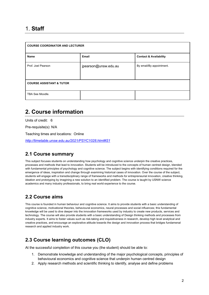## 1. **Staff**

| <b>COURSE COORDINATOR AND LECTURER</b> |                      |                                   |  |  |
|----------------------------------------|----------------------|-----------------------------------|--|--|
| <b>Name</b>                            | <b>Email</b>         | <b>Contact &amp; Availability</b> |  |  |
| Prof. Joel Pearson                     | jpearson@unsw.edu.au | By email/By appointment.          |  |  |
| <b>COURSE ASSISTANT &amp; TUTOR</b>    |                      |                                   |  |  |
| TBA See Moodle.                        |                      |                                   |  |  |

# **2. Course information**

Units of credit: 6

Pre-requisite(s): N/A

Teaching times and locations: Online

*http://timetable.unsw.edu.au/2021/PSYC1028.html#S1*

### **2.1 Course summary**

This subject focuses students on understanding how psychology and cognitive science underpin the creative practices, processes and methods that lead to innovation. Students will be introduced to the concepts of human centred design, blended with fundamental principles of psychology and cognitive science. The subject begins with identifying conditions required for the emergence of ideas, inspiration and change through examining historical cases of innovation. Over the course of the subject, students will engage with a transdisciplinary range of frameworks and methods for entrepreneurial innovation, creative thinking, ideation and prototyping by imagining a new solution to an identified problem. The course is taught by USNW science academics and many industry professionals, to bring real world experience to the course.

### **2.2 Course aims**

This course is founded in human behaviour and cognitive science. It aims to provide students with a basic understanding of cognitive science, motivational theories, behavioural economics, neural processes and social influences; this fundamental knowledge will be used to dive deeper into the innovation frameworks used by industry to create new products, services and technology. The course will also provide students with a basic understanding of Design thinking methods and processes from industry experts. It aims to foster values such as risk-taking and inquisitiveness in research, develop high level analytical and creative practices, and encourage an explorative attitude towards the design and innovation process that bridges fundamenal research and applied industry work.

### **2.3 Course learning outcomes (CLO)**

At the successful completion of this course you (the student) should be able to:

- 1. Demonstrate knowledge and understanding of the major psychological concepts, principles of behavioural economics and cognitive science that underpin human centred design
- 2. Apply research methods and scientific thinking to identify, analyse and define problems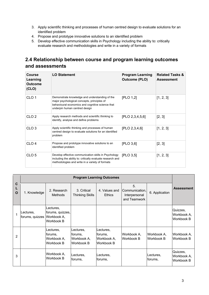- 3. Apply scientific thinking and processes of human centred design to evaluate solutions for an identified problem
- 4. Propose and prototype innovative solutions to an identified problem
- 5. Develop effective communication skills in Psychology including the ability to: critically evaluate research and methodologies and write in a variety of formats

### **2.4 Relationship between course and program learning outcomes and assessments**

| Course<br>Learning<br>Outcome<br>(CLO) | <b>LO Statement</b>                                                                                                                                                                | <b>Program Learning</b><br><b>Outcome (PLO)</b> | <b>Related Tasks &amp;</b><br><b>Assessment</b> |
|----------------------------------------|------------------------------------------------------------------------------------------------------------------------------------------------------------------------------------|-------------------------------------------------|-------------------------------------------------|
| CLO <sub>1</sub>                       | Demonstrate knowledge and understanding of the<br>major psychological concepts, principles of<br>behavioural economics and cognitive science that<br>underpin human centred design | [PLO 1,2]                                       | [1, 2, 3]                                       |
| CLO <sub>2</sub>                       | Apply research methods and scientific thinking to<br>identify, analyse and define problems                                                                                         | [PLO 2,3,4,5,6]                                 | [2, 3]                                          |
| CLO <sub>3</sub>                       | Apply scientific thinking and processes of human<br>centred design to evaluate solutions for an identified<br>problem                                                              | [PLO 2, 3, 4, 6]                                | [1, 2, 3]                                       |
| CLO <sub>4</sub>                       | Propose and prototype innovative solutions to an<br>identified problem                                                                                                             | [PLO 3, 6]                                      | [2, 3]                                          |
| CLO <sub>5</sub>                       | Develop effective communication skills in Psychology<br>including the ability to: critically evaluate research and<br>methodologies and write in a variety of formats              | [PLO 3, 5]                                      | [1, 2, 3]                                       |

|             |                                          |                                                   |                                                   | <b>Program Learning Outcomes</b>                  |                                                       |                           |                                       |
|-------------|------------------------------------------|---------------------------------------------------|---------------------------------------------------|---------------------------------------------------|-------------------------------------------------------|---------------------------|---------------------------------------|
| C<br>L<br>O | 1. Knowledge                             | 2. Research<br><b>Methods</b>                     | 3. Critical<br>Thinking Skills                    | 4. Values and<br><b>Ethics</b>                    | 5.<br>Communication,<br>Interpersonal<br>and Teamwork | 6. Application            | <b>Assessment</b>                     |
|             | Lectures,<br>forums, quizzes Workbook A, | Lectures,<br>forums, quizzes,<br>Workbook B       |                                                   |                                                   |                                                       |                           | Quizzes,<br>Workbook A,<br>Workbook B |
| 2           |                                          | Lectures,<br>forums,<br>Workbook A,<br>Workbook B | Lectures,<br>forums,<br>Workbook A,<br>Workbook B | Lectures,<br>forums,<br>Workbook A,<br>Workbook B | Workbook A.<br>Workbook B                             | Workbook A.<br>Workbook B | Workbook A,<br>Workbook B             |
| 3           |                                          | Workbook A,<br>Workbook B                         | Lectures,<br>forums,                              | Lectures.<br>forums,                              |                                                       | Lectures,<br>forums,      | Quizzes,<br>Workbook A.<br>Workbook B |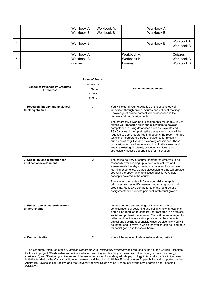|   | Workbook A,<br>Workbook B             | Workbook A,<br><b>Workbook B</b> |                                      | Workbook A,<br>Workbook B |                                       |
|---|---------------------------------------|----------------------------------|--------------------------------------|---------------------------|---------------------------------------|
| 4 | Workbook B                            |                                  |                                      | Workbook B                | Workbook A,<br>Workbook B             |
| 5 | Workbook A,<br>Workbook B,<br>quizzes |                                  | Workbook A,<br>Workbook B,<br>Forums |                           | Quizzes,<br>Workbook A,<br>Workbook B |

| <b>School of Psychology Graduate</b><br>Attributes <sup>1</sup> | <b>Level of Focus</b><br>$0 = No$ focus<br>$1 =$ Minimal<br>$2 =$ Minor<br>$3 =$ Major | <b>Activities/Assessment</b>                                                                                                                                                                                                                                                                                                                                                                                                                                                                                                                                                                                                                                                                                                                                                                           |
|-----------------------------------------------------------------|----------------------------------------------------------------------------------------|--------------------------------------------------------------------------------------------------------------------------------------------------------------------------------------------------------------------------------------------------------------------------------------------------------------------------------------------------------------------------------------------------------------------------------------------------------------------------------------------------------------------------------------------------------------------------------------------------------------------------------------------------------------------------------------------------------------------------------------------------------------------------------------------------------|
| 1. Research, inquiry and analytical<br>thinking abilities       | 3                                                                                      | You will extend your knowledge of the psychology of<br>innovation through online lectures and optional readings.<br>Knowledge of course content will be assessed in the<br>quizzes and both assignments.<br>The progressive Workbook assignments will enable you to<br>extend your research skills and allow them to develop<br>competence in using databases such as PsycInfo and<br>PSYCarticles. In completing the assignments, you will be<br>required to demonstrate reading beyond the recommended<br>texts and incorporate a body of evidence for relevant<br>principles of cognitive and psychological science. These<br>two assignments will require you to critically assess and<br>analyse existing problems, products, services, and<br>strategically assess opportunities for innovation. |
| 2. Capability and motivation for<br>intellectual development    | $\overline{2}$                                                                         | The online delivery of course content requires you to be<br>responsible for keeping up to date with lectures and<br>assessments thereby showing commitment to your own<br>learning experience. Course discussion forums will provide<br>you with the opportunity to discuss/question/evaluate<br>concepts covered in the course.<br>The two assignments will focus your ability to apply<br>principles from scientific research on solving real world<br>problems. Reflective components of the lectures and<br>assignments will promote personal intellectual growth.                                                                                                                                                                                                                                 |
| 3. Ethical, social and professional<br>understanding            | 3                                                                                      | Lecture content and readings will cover the ethical<br>considerations of designing and building new innovations.<br>You will be required to conduct user research in an ethical,<br>social and professional manner. You will be encouraged to<br>reflect on how the innovation process can be conducted in<br>ethical and socially responsible ways. Additionally, you will<br>be introduced to ways in which innovation can be used both<br>for social good and for social harm.                                                                                                                                                                                                                                                                                                                      |
| 4. Communication                                                | 2                                                                                      | You will be required to demonstrate strong skills in                                                                                                                                                                                                                                                                                                                                                                                                                                                                                                                                                                                                                                                                                                                                                   |

<sup>1</sup> The Graduate Attributes of the *Australian Undergraduate Psychology Program* was produced as part of the Carrick Associate Fellowship project, "Sustainable and evidence-based learning and teaching approaches to the undergraduate psychology curriculum", and "Designing a diverse and future-oriented vision for undergraduate psychology in Australia", a Discipline based Initiative funded by the Carrick Institute for Learning and Teaching in Higher Education (see Appendix II), and supported by the Australian Psychological Society, and the University of New South Wales (School of Psychology; Learning and Teaching @UNSW).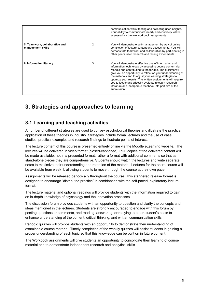|                                                     |   | communication whilst testing and collecting user insights.<br>Your ability to communicate clearly and concisely will be<br>assessed via the two workbook assignments.                                                                                                                                                                                                                                                                                                                                     |
|-----------------------------------------------------|---|-----------------------------------------------------------------------------------------------------------------------------------------------------------------------------------------------------------------------------------------------------------------------------------------------------------------------------------------------------------------------------------------------------------------------------------------------------------------------------------------------------------|
| 5. Teamwork, collaborative and<br>management skills |   | You will demonstrate self-management by way of online<br>completion of lecture content and assessments. You will<br>demonstrate teamwork and collaboration by participating in<br>other peers' user research and testing experiments.                                                                                                                                                                                                                                                                     |
| 6. Information literacy                             | 3 | You will demonstrate effective use of information and<br>information technology by accessing course content via<br>Moodle and contributing to the forums. The quizzes will<br>give you an opportunity to reflect on your understanding of<br>the materials and to adjust your learning strategies to<br>optimize your results. The written assignments will require<br>you to locate and critically evaluate relevant research<br>literature and incorporate feedback into part two of the<br>submission. |

# **3. Strategies and approaches to learning**

### **3.1 Learning and teaching activities**

A number of different strategies are used to convey psychological theories and illustrate the practical application of these theories in industry. Strategies include formal lectures and the use of case studies, practical examples and research findings to illustrate points of interest.

The lecture content of this course is presented entirely online via the Moodle eLearning website. The lectures will be delivered in video format (closed-captioned). PDF copies of the delivered content will be made available; not in a presented format, rather a format with additional comments so that as stand-alone pieces they are comprehensive. Students should watch the lectures and write separate notes to maximize their understanding and retention of the material. Lectures for the entire course will be available from week 1, allowing students to move through the course at their own pace.

Assignments will be released periodically throughout the course. This staggered release format is designed to encourage "distributed practice" in combination with the self-paced, exploratory lecture format.

The lecture material and optional readings will provide students with the information required to gain an in-depth knowledge of psychology and the innovation processes.

The discussion forum provides students with an opportunity to question and clarify the concepts and ideas mentioned in the lectures. Students are strongly encouraged to engage with this forum by posting questions or comments, and reading, answering, or replying to other student's posts to enhance understanding of the content, critical thinking, and written communication skills.

Periodic quizzes will provide students with an opportunity to demonstrate their understanding of examinable course material. Timely completion of the weekly quizzes will assist students in gaining a proper understanding of each topic so that this knowledge can be built on in future content.

The Workbook assignments will give students an opportunity to consolidate their learning of course material and to demonstrate independent research and analytical skills.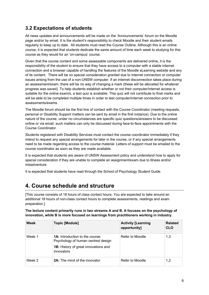### **3.2 Expectations of students**

All news updates and announcements will be made on the 'Announcements' forum on the Moodle page and/or by email. It is the student's responsibility to check Moodle and their student emails regularly to keep up to date. All students must read the Course Outline. Although this is an online course, it is expected that students dedicate the same amount of time each week to studying for this course as they would for an 'on-campus' course.

Given that the course content and some assessable components are delivered online, it is the responsibility of the student to ensure that they have access to a computer with a stable internet connection and a browser capable of handling the features of the Moodle eLearning website and any of its content. There will be no special consideration granted due to internet connection or computer issues arising from the use of a non-UNSW computer. If an internet disconnection takes place during an assessment/exam, there will be no way of changing a mark (these will be allocated for whatever progress was saved). To help students establish whether or not their computer/internet access is suitable for the online exam/s, a test quiz is available. This quiz will not contribute to final marks and will be able to be completed multiple times in order to test computer/internet connection prior to assessments/exams.

The Moodle forum should be the first line of contact with the Course Coordinator (meeting requests, personal or Disability Support matters can be sent by email in the first instance). Due to the online nature of the course, under no circumstances are specific quiz questions/answers to be discussed online or via email, such matters can only be discussed during face-to-face appointments with the Course Coordinator.

Students registered with Disability Services must contact the course coordinator immediately if they intend to request any special arrangements for later in the course, or if any special arrangements need to be made regarding access to the course material. Letters of support must be emailed to the course coordinator as soon as they are made available.

It is expected that students are aware of UNSW Assessment policy and understand how to apply for special consideration if they are unable to complete an assignment/exam due to illness and/or misadventure.

It is expected that students have read through the School of Psychology Student Guide.

## **4. Course schedule and structure**

[This course consists of 18 hours of class contact hours. You are expected to take around an additional 18 hours of non-class contact hours to complete assessments, readings and exam preparation.]

**The lecture content primarily runs in two streams A and B. A focuses on the psychology of innovation, while B is more focused on learnings from practitioners working in industry.** 

| Week   | <b>Topic [Module]</b>                                                                                                                     | <b>Activity [Learning</b><br>opportunity] | <b>Related</b><br><b>CLO</b> |
|--------|-------------------------------------------------------------------------------------------------------------------------------------------|-------------------------------------------|------------------------------|
| Week 1 | <b>1A:</b> Introduction to the course:<br>Psychology of human centred design<br><b>1B:</b> History of great innovations and<br>innovators | Refer to Moodle                           | 1,3                          |
| Week 2 | <b>2A:</b> The mind of the innovator                                                                                                      | Refer to Moodle                           | 1,2                          |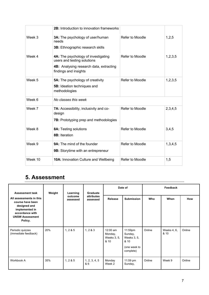|         | <b>2B:</b> Introduction to innovation frameworks                                                                                       |                 |         |
|---------|----------------------------------------------------------------------------------------------------------------------------------------|-----------------|---------|
| Week 3  | 3A: The psychology of user/human<br>needs<br>3B: Ethnographic research skills                                                          | Refer to Moodle | 1,2,5   |
| Week 4  | 4A: The psychology of investigating<br>users and testing solutions<br>4B: Analysing research data, extracting<br>findings and insights | Refer to Moodle | 1,2,3,5 |
| Week 5  | <b>5A:</b> The psychology of creativity<br>5B: Ideation techniques and<br>methodologies                                                | Refer to Moodle | 1,2,3,5 |
| Week 6  | No classes this week                                                                                                                   |                 |         |
| Week 7  | 7A: Accessibility, inclusivity and co-<br>design<br><b>7B:</b> Prototyping prep and methodologies                                      | Refer to Moodle | 2,3,4,5 |
| Week 8  | 8A: Testing solutions<br>8B: Iteration                                                                                                 | Refer to Moodle | 3,4,5   |
| Week 9  | 9A: The mind of the founder<br>9B: Storytime with an entrepreneur                                                                      | Refer to Moodle | 1,3,4,5 |
| Week 10 | 10A: Innovation Culture and Wellbeing                                                                                                  | Refer to Moodle | 1,5     |

# **5. Assessment**

| <b>Assessment task</b>                                                                                                                | Weight | Learning            | Graduate               | Date of                                    |                                                                        | Feedback |                     |            |
|---------------------------------------------------------------------------------------------------------------------------------------|--------|---------------------|------------------------|--------------------------------------------|------------------------------------------------------------------------|----------|---------------------|------------|
| All assessments in this<br>course have been<br>designed and<br>implemented in<br>accordance with<br><b>UNSW Assessment</b><br>Policy. |        | outcome<br>assessed | attributes<br>assessed | Release                                    | <b>Submission</b>                                                      | Who      | When                | <b>How</b> |
| Periodic quizzes<br>(immediate feedback)                                                                                              | 20%    | 1, 2 & 5            | 1, 2 & 3               | 12:00 am<br>Monday,<br>Weeks 3, 5,<br>& 10 | 11:59pm<br>Sunday,<br>Weeks 3, 5,<br>& 10<br>(one week to<br>complete) | Online   | Weeks 4, 6,<br>& 10 | Online     |
| Workbook A                                                                                                                            | 35%    | 1, 285              | 1, 2, 3, 4, 5<br>& 6   | Monday<br>Week 2                           | 11:59 pm<br>Sunday,                                                    | Online   | Week 9              | Online     |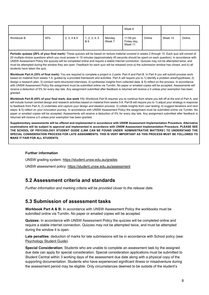|            |     |             |                      |                  | Week 6                             |        |         |        |
|------------|-----|-------------|----------------------|------------------|------------------------------------|--------|---------|--------|
| Workbook B | 45% | 2, 3, 4 & 5 | 1, 2, 3, 4, 5<br>& 6 | Monday<br>Week 7 | 11:59 pm<br>Friday day,<br>Week 11 | Online | Week 14 | Online |

Periodic quizzes (20% of your final mark): These quizzes will be based on lecture material covered in weeks 2 through 10. Each quiz will consist of 20 multiple-choice questions which you must answer in 15 minutes (approximately 45 seconds should be spent on each question). In accordance with UNSW Assessment Policy the quizzes will be completed online and require a stable internet connection. Quizzes may not be attempted twice, and must be attempted during the window they are open. Feedback for each quiz will be released once a) the submission window has closed, and b) all students have taken the quiz.

**Workbook Part A (35% of final mark):** You are required to complete a project in 2 parts: Part A and Part B. In Part A you will submit process work based on material from weeks 1-4, guided by a provided framework and activities. Part A will require you to 1) identify a problem area/hypothesis; 2) design a research plan; 3) conduct semi-structured interviews; 4) synthesise insights from collected data; & 5) reflect on the process. In accordance with UNSW Assessment Policy the assignment must be submitted online via Turnitin. No paper or emailed copies will be accepted. Assessments will receive a deduction of 5% for every day late. Any assignment submitted after feedback is returned will receive a 0 unless prior exemption has been granted.

**Workbook Part B (45% of your final mark; due week 11):** Workbook Part B requires you to continue from where you left off at the end of Part A, and will include human centred design and research activities based on material from weeks 5-9. Part B will require you to 1) adjust your strategy in response to feedback from Part A; 2) undertake and capture your design and ideation process; 3) collate insights from user testing; 4) suggest iterations and next steps; & 5) reflect on your innovation journey. In accordance with UNSW Assessment Policy the assignment must be submitted online via Turnitin. No paper or emailed copies will be accepted. Assessments will receive a deduction of 5% for every day late. Any assignment submitted after feedback is returned will receive a 0 unless prior exemption has been granted.

**Supplementary assessments will be offered and implemented in accordance with UNSW Assessment Implementation Procedure. Alternative examinations will be subject to approval and implemented in accordance with UNSW Assessment Implementation Procedure. PLEASE SEE THE SCHOOL OF PSYCHOLOGY STUDENT GUIDE (LINK CAN BE FOUND UNDER 'ADMINISTRATIVE MATTERS') TO UNDERSTAND THE SPECIAL CONSIDERATION PROCESS FOR LATE ASSIGNMENTS. THIS IS VERY IMPORTANT AS THIS PROCESS MUST BE FOLLOWED TO MAKE IT FAIR FOR ALL STUDENTS.**

#### **Further information**

UNSW grading system: https://student.unsw.edu.au/grades

UNSW assessment policy: https://student.unsw.edu.au/assessment

### **5.2 Assessment criteria and standards**

*Further information and marking criteria will be provided closer to the release date.* 

### **5.3 Submission of assessment tasks**

**Workbook Part A & B:** In accordance with UNSW Assessment Policy the workbooks must be submitted online via Turnitin. No paper or emailed copies will be accepted.

**Quizzes:** In accordance with UNSW Assessment Policy the quizzes will be completed online and require a stable internet connection. Quizzes may not be attempted twice, and must be attempted during the window it is open.

**Late penalties**: deduction of marks for late submissions will be in accordance with School policy (see: Psychology Student Guide).

**Special Consideration:** Students who are unable to complete an assessment task by the assigned due date can apply for special consideration. Special consideration applications must be submitted to Student Central within 3 working days of the assessment due date along with a physical copy of the supporting documentation. Students who have experienced significant illness or misadventure during the assessment period may be eligible. Only circumstances deemed to be outside of the student's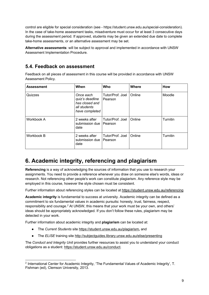control are eligible for special consideration (see - https://student.unsw.edu.au/special-consideration). In the case of take-home assessment tasks, misadventure must occur for at least 3 consecutive days during the assessment period. If approved, students may be given an extended due date to complete take-home assessments, or an alternative assessment may be set.

**Alternative assessments**: will be subject to approval and implemented in accordance with UNSW Assessment Implementation Procedure.

### **5.4. Feedback on assessment**

Feedback on all pieces of assessment in this course will be provided in accordance with UNSW Assessment Policy.

| <b>Assessment</b> | When                                                                             | Who                           | <b>Where</b> | How             |
|-------------------|----------------------------------------------------------------------------------|-------------------------------|--------------|-----------------|
| Quizzes           | Once each<br>quiz's deadline<br>has closed and<br>all students<br>have completed | Tutor/Prof. Joel<br>l Pearson | Online       | Moodle          |
| Workbook A        | 2 weeks after<br>submission due   Pearson<br>date                                | Tutor/Prof. Joel              | Online       | <b>Turnitin</b> |
| Workbook B        | 2 weeks after<br>submission due<br>date                                          | Tutor/Prof. Joel<br>l Pearson | Online       | <b>Turnitin</b> |

# **6. Academic integrity, referencing and plagiarism**

**Referencing** is a way of acknowledging the sources of information that you use to research your assignments. You need to provide a reference whenever you draw on someone else's words, ideas or research. Not referencing other people's work can constitute plagiarism. Any reference style may be employed in this course, however the style chosen must be consistent.

Further information about referencing styles can be located at https://student.unsw.edu.au/referencing

**Academic integrity** is fundamental to success at university. Academic integrity can be defined as a commitment to six fundamental values in academic pursuits**:** honesty, trust, fairness, respect, responsibility and courage.*<sup>2</sup>* At UNSW, this means that your work must be your own, and others' ideas should be appropriately acknowledged. If you don't follow these rules, plagiarism may be detected in your work.

Further information about academic integrity and **plagiarism** can be located at:

- The *Current Students* site https://student.unsw.edu.au/plagiarism*,* and
- The *ELISE* training site http://subjectguides.library.unsw.edu.au/elise/presenting

The *Conduct and Integrity Unit* provides further resources to assist you to understand your conduct obligations as a student: https://student.unsw.edu.au/conduct.

<sup>2</sup> International Center for Academic Integrity, 'The Fundamental Values of Academic Integrity', T. Fishman (ed), Clemson University, 2013.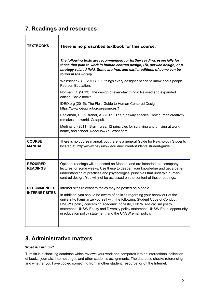# **7. Readings and resources**

| <b>TEXTBOOKS</b>                            | There is no prescribed textbook for this course.                                                                                                                                                                                                                                                                                                                                  |
|---------------------------------------------|-----------------------------------------------------------------------------------------------------------------------------------------------------------------------------------------------------------------------------------------------------------------------------------------------------------------------------------------------------------------------------------|
|                                             | The following texts are recommended for further reading, especially for<br>those that plan to work in human centred design, UX, service design, or a<br>strategy-related field. Some are free, and earlier editions of some can be<br>found in the library.                                                                                                                       |
|                                             | Weinschenk, S. (2011). 100 things every designer needs to know about people.<br>Pearson Education.                                                                                                                                                                                                                                                                                |
|                                             | Norman, D. (2013). The design of everyday things: Revised and expanded<br>edition. Basic books.                                                                                                                                                                                                                                                                                   |
|                                             | IDEO.org (2015). The Field Guide to Human-Centered Design.<br>https://www.designkit.org//resources/1                                                                                                                                                                                                                                                                              |
|                                             | Eagleman, D., & Brandt, A. (2017). The runaway species: How human creativity<br>remakes the world. Catapult.                                                                                                                                                                                                                                                                      |
|                                             | Medina, J. (2011). Brain rules: 12 principles for surviving and thriving at work,<br>home, and school. ReadHowYouWant.com.                                                                                                                                                                                                                                                        |
| <b>COURSE</b><br><b>MANUAL</b>              | There is no course manual, but there is a general Guide for Psychology Students<br>located at: http://www.psy.unsw.edu.au/current-students/student-guide                                                                                                                                                                                                                          |
| <b>REQUIRED</b><br><b>READINGS</b>          | Optional readings will be posted on Moodle, and are intended to accompany<br>lectures for some weeks. Use these to deepen your knowledge and get a better<br>understanding of practices and psychological principles that underpin human-<br>centred design. You will not be assessed on the content of these readings.                                                           |
| <b>RECOMMENDED</b><br><b>INTERNET SITES</b> | Internet sites relevant to topics may be posted on Moodle.                                                                                                                                                                                                                                                                                                                        |
|                                             | In addition, you should be aware of policies regarding your behaviour at the<br>university. Familiarize yourself with the following: Student Code of Conduct,<br>UNSW's policy concerning academic honesty, UNSW Anti-racism policy<br>statement, UNSW Equity and Diversity policy statement, UNSW Equal opportunity<br>in education policy statement, and the UNSW email policy. |

# **8. Administrative matters**

#### **What is Turnitin?**

Turnitin is a checking database which reviews your work and compares it to an international collection of books, journals, Internet pages and other student's assignments. The database checks referencing and whether you have copied something from another student, resource, or off the Internet.